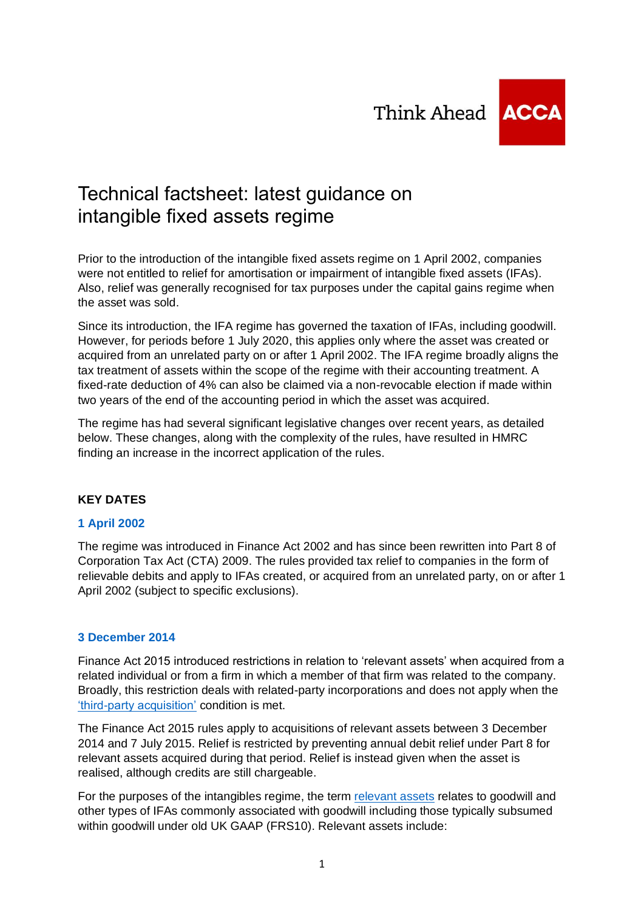Think Ahead **ACCA** 



# Technical factsheet: latest guidance on intangible fixed assets regime

Prior to the introduction of the intangible fixed assets regime on 1 April 2002, companies were not entitled to relief for amortisation or impairment of intangible fixed assets (IFAs). Also, relief was generally recognised for tax purposes under the capital gains regime when the asset was sold.

Since its introduction, the IFA regime has governed the taxation of IFAs, including goodwill. However, for periods before 1 July 2020, this applies only where the asset was created or acquired from an unrelated party on or after 1 April 2002. The IFA regime broadly aligns the tax treatment of assets within the scope of the regime with their accounting treatment. A fixed-rate deduction of 4% can also be claimed via a non-revocable election if made within two years of the end of the accounting period in which the asset was acquired.

The regime has had several significant legislative changes over recent years, as detailed below. These changes, along with the complexity of the rules, have resulted in HMRC finding an increase in the incorrect application of the rules.

# **KEY DATES**

#### **[1 April 2002](https://www.gov.uk/hmrc-internal-manuals/corporate-intangibles-research-and-development-manual/cird10140)**

The regime was introduced in Finance Act 2002 and has since been rewritten into Part 8 of Corporation Tax Act (CTA) 2009. The rules provided tax relief to companies in the form of relievable debits and apply to IFAs created, or acquired from an unrelated party, on or after 1 April 2002 (subject to specific exclusions).

#### **[3 December 2014](https://www.gov.uk/hmrc-internal-manuals/corporate-intangibles-research-and-development-manual/cird44300)**

Finance Act 2015 introduced restrictions in relation to 'relevant assets' when acquired from a related individual or from a firm in which a member of that firm was related to the company. Broadly, this restriction deals with related-party incorporations and does not apply when the ['third-party acquisition'](https://www.gov.uk/hmrc-internal-manuals/corporate-intangibles-research-and-development-manual/cird44500) condition is met.

The Finance Act 2015 rules apply to acquisitions of relevant assets between 3 December 2014 and 7 July 2015. Relief is restricted by preventing annual debit relief under Part 8 for relevant assets acquired during that period. Relief is instead given when the asset is realised, although credits are still chargeable.

For the purposes of the intangibles regime, the term [relevant assets](https://www.gov.uk/hmrc-internal-manuals/corporate-intangibles-research-and-development-manual/cird44060) relates to goodwill and other types of IFAs commonly associated with goodwill including those typically subsumed within goodwill under old UK GAAP (FRS10). Relevant assets include: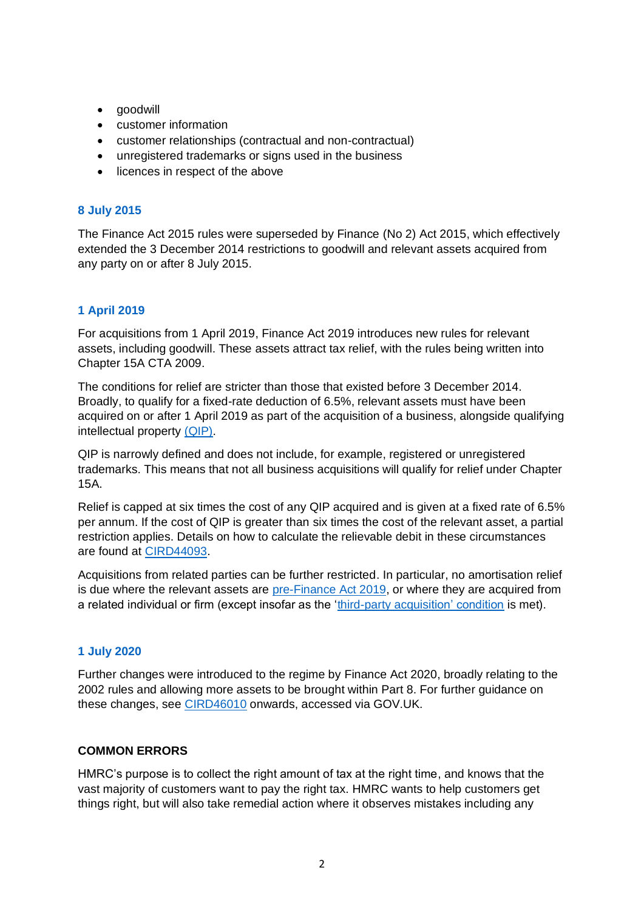- goodwill
- customer information
- customer relationships (contractual and non-contractual)
- unregistered trademarks or signs used in the business
- licences in respect of the above

### **[8 July 2015](https://www.gov.uk/hmrc-internal-manuals/corporate-intangibles-research-and-development-manual/cird44100)**

The Finance Act 2015 rules were superseded by Finance (No 2) Act 2015, which effectively extended the 3 December 2014 restrictions to goodwill and relevant assets acquired from any party on or after 8 July 2015.

## **[1 April 2019](https://www.gov.uk/hmrc-internal-manuals/corporate-intangibles-research-and-development-manual/cird44055)**

For acquisitions from 1 April 2019, Finance Act 2019 introduces new rules for relevant assets, including goodwill. These assets attract tax relief, with the rules being written into Chapter 15A CTA 2009.

The conditions for relief are stricter than those that existed before 3 December 2014. Broadly, to qualify for a fixed-rate deduction of 6.5%, relevant assets must have been acquired on or after 1 April 2019 as part of the acquisition of a business, alongside qualifying intellectual property [\(QIP\).](https://www.gov.uk/hmrc-internal-manuals/corporate-intangibles-research-and-development-manual/cird44060)

QIP is narrowly defined and does not include, for example, registered or unregistered trademarks. This means that not all business acquisitions will qualify for relief under Chapter 15A.

Relief is capped at six times the cost of any QIP acquired and is given at a fixed rate of 6.5% per annum. If the cost of QIP is greater than six times the cost of the relevant asset, a partial restriction applies. Details on how to calculate the relievable debit in these circumstances are found at [CIRD44093.](https://www.gov.uk/hmrc-internal-manuals/corporate-intangibles-research-and-development-manual/cird44093)

Acquisitions from related parties can be further restricted. In particular, no amortisation relief is due where the relevant assets are [pre-Finance Act](https://www.gov.uk/hmrc-internal-manuals/corporate-intangibles-research-and-development-manual/cird44075) 2019, or where they are acquired from a related individual or firm (except insofar as the ['third-party acquisition' condition](https://www.gov.uk/hmrc-internal-manuals/corporate-intangibles-research-and-development-manual/cird44083) is met).

# **[1 July 2020](https://www.gov.uk/hmrc-internal-manuals/corporate-intangibles-research-and-development-manual/cird11655)**

Further changes were introduced to the regime by Finance Act 2020, broadly relating to the 2002 rules and allowing more assets to be brought within Part 8. For further guidance on these changes, see [CIRD46010](https://www.gov.uk/hmrc-internal-manuals/corporate-intangibles-research-and-development-manual/cird46010) onwards, accessed via GOV.UK.

#### **COMMON ERRORS**

HMRC's purpose is to collect the right amount of tax at the right time, and knows that the vast majority of customers want to pay the right tax. HMRC wants to help customers get things right, but will also take remedial action where it observes mistakes including any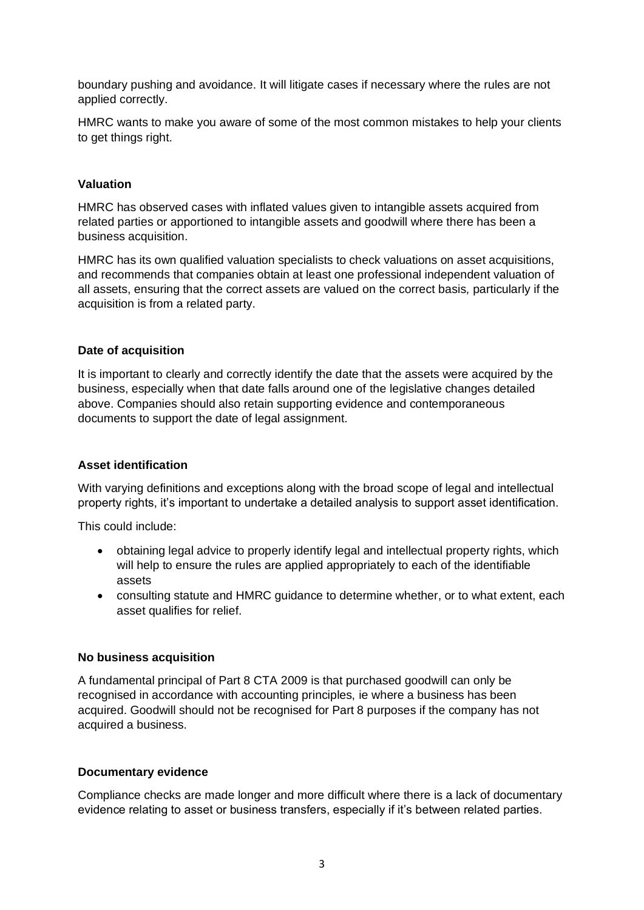boundary pushing and avoidance. It will litigate cases if necessary where the rules are not applied correctly.

HMRC wants to make you aware of some of the most common mistakes to help your clients to get things right.

#### **Valuation**

HMRC has observed cases with inflated values given to intangible assets acquired from related parties or apportioned to intangible assets and goodwill where there has been a business acquisition.

HMRC has its own qualified valuation specialists to check valuations on asset acquisitions, and recommends that companies obtain at least one professional independent valuation of all assets, ensuring that the correct assets are valued on the correct basis*,* particularly if the acquisition is from a related party.

#### **Date of acquisition**

It is important to clearly and correctly identify the date that the assets were acquired by the business, especially when that date falls around one of the legislative changes detailed above. Companies should also retain supporting evidence and contemporaneous documents to support the date of legal assignment.

#### **Asset identification**

With varying definitions and exceptions along with the broad scope of legal and intellectual property rights, it's important to undertake a detailed analysis to support asset identification.

This could include:

- obtaining legal advice to properly identify legal and intellectual property rights, which will help to ensure the rules are applied appropriately to each of the identifiable assets
- consulting statute and HMRC guidance to determine whether, or to what extent, each asset qualifies for relief.

#### **No business acquisition**

A fundamental principal of Part 8 CTA 2009 is that purchased goodwill can only be recognised in accordance with accounting principles, ie where a business has been acquired. Goodwill should not be recognised for Part 8 purposes if the company has not acquired a business.

#### **Documentary evidence**

Compliance checks are made longer and more difficult where there is a lack of documentary evidence relating to asset or business transfers, especially if it's between related parties.